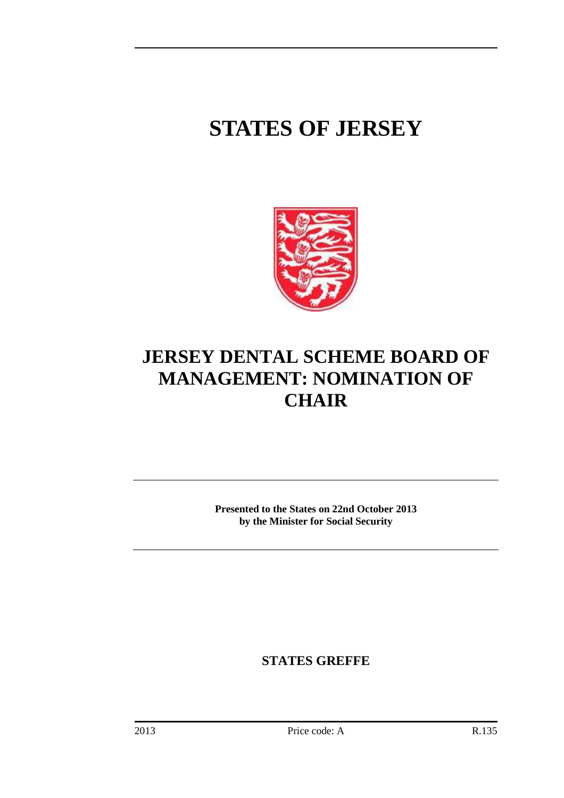## **STATES OF JERSEY**



## **JERSEY DENTAL SCHEME BOARD OF MANAGEMENT: NOMINATION OF CHAIR**

**Presented to the States on 22nd October 2013 by the Minister for Social Security** 

**STATES GREFFE**